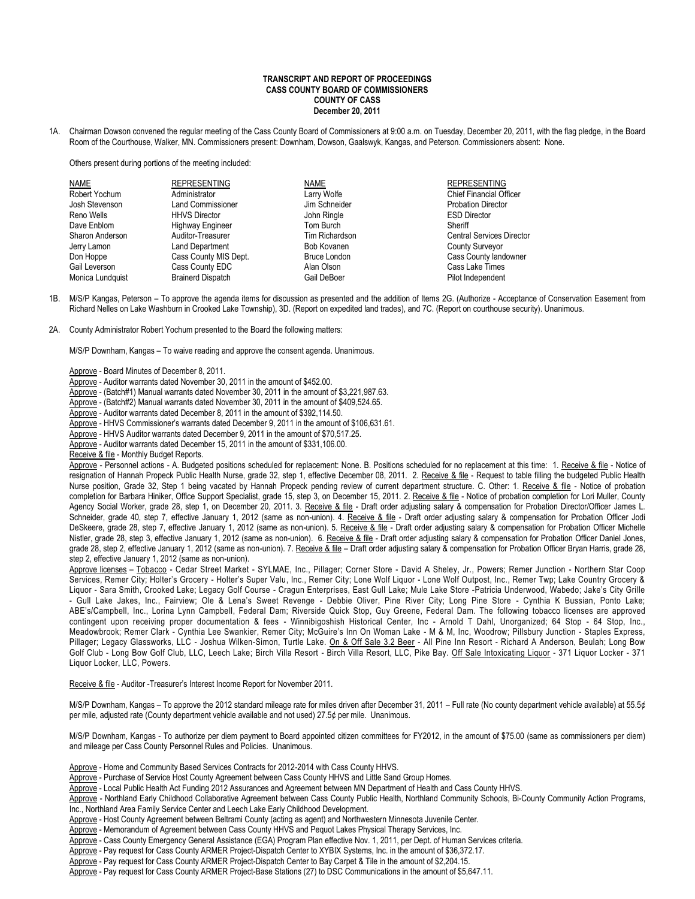#### **TRANSCRIPT AND REPORT OF PROCEEDINGS CASS COUNTY BOARD OF COMMISSIONERS COUNTY OF CASS December 20, 2011**

1A. Chairman Dowson convened the regular meeting of the Cass County Board of Commissioners at 9:00 a.m. on Tuesday, December 20, 2011, with the flag pledge, in the Board Room of the Courthouse, Walker, MN. Commissioners present: Downham, Dowson, Gaalswyk, Kangas, and Peterson. Commissioners absent: None.

Others present during portions of the meeting included:

| NAME             | <b>REPRESENTING</b>      | <b>NAME</b>         | <b>REPRESENTING</b>              |
|------------------|--------------------------|---------------------|----------------------------------|
| Robert Yochum    | Administrator            | Larry Wolfe         | <b>Chief Financial Officer</b>   |
| Josh Stevenson   | <b>Land Commissioner</b> | Jim Schneider       | <b>Probation Director</b>        |
| Reno Wells       | <b>HHVS Director</b>     | John Ringle         | <b>ESD Director</b>              |
| Dave Enblom      | <b>Highway Engineer</b>  | Tom Burch           | Sheriff                          |
| Sharon Anderson  | Auditor-Treasurer        | Tim Richardson      | <b>Central Services Director</b> |
| Jerry Lamon      | <b>Land Department</b>   | Bob Kovanen         | <b>County Surveyor</b>           |
| Don Hoppe        | Cass County MIS Dept.    | <b>Bruce London</b> | Cass County landowner            |
| Gail Leverson    | Cass County EDC          | Alan Olson          | Cass Lake Times                  |
| Monica Lundquist | <b>Brainerd Dispatch</b> | Gail DeBoer         | Pilot Independent                |

- 1B. M/S/P Kangas, Peterson To approve the agenda items for discussion as presented and the addition of Items 2G. (Authorize Acceptance of Conservation Easement from Richard Nelles on Lake Washburn in Crooked Lake Township), 3D. (Report on expedited land trades), and 7C. (Report on courthouse security). Unanimous.
- 2A. County Administrator Robert Yochum presented to the Board the following matters:

M/S/P Downham, Kangas – To waive reading and approve the consent agenda. Unanimous.

Approve - Board Minutes of December 8, 2011.

- Approve Auditor warrants dated November 30, 2011 in the amount of \$452.00.
- Approve (Batch#1) Manual warrants dated November 30, 2011 in the amount of \$3,221,987.63.
- Approve (Batch#2) Manual warrants dated November 30, 2011 in the amount of \$409,524.65.
- Approve Auditor warrants dated December 8, 2011 in the amount of \$392,114.50.
- Approve HHVS Commissioner's warrants dated December 9, 2011 in the amount of \$106,631.61.
- Approve HHVS Auditor warrants dated December 9, 2011 in the amount of \$70,517.25.
- Approve Auditor warrants dated December 15, 2011 in the amount of \$331,106.00.
- Receive & file Monthly Budget Reports.

Approve - Personnel actions - A. Budgeted positions scheduled for replacement: None. B. Positions scheduled for no replacement at this time: 1. Receive & file - Notice of resignation of Hannah Propeck Public Health Nurse, grade 32, step 1, effective December 08, 2011. 2. Receive & file - Request to table filling the budgeted Public Health Nurse position, Grade 32, Step 1 being vacated by Hannah Propeck pending review of current department structure. C. Other: 1. Receive & file - Notice of probation completion for Barbara Hiniker, Office Support Specialist, grade 15, step 3, on December 15, 2011. 2. Receive & file - Notice of probation completion for Lori Muller, County Agency Social Worker, grade 28, step 1, on December 20, 2011. 3. Receive & file - Draft order adjusting salary & compensation for Probation Director/Officer James L. Schneider, grade 40, step 7, effective January 1, 2012 (same as non-union). 4. Receive & file - Draft order adjusting salary & compensation for Probation Officer Jodi DeSkeere, grade 28, step 7, effective January 1, 2012 (same as non-union). 5. Receive & file - Draft order adjusting salary & compensation for Probation Officer Michelle Nistler, grade 28, step 3, effective January 1, 2012 (same as non-union). 6. Receive & file - Draft order adjusting salary & compensation for Probation Officer Daniel Jones, grade 28, step 2, effective January 1, 2012 (same as non-union). 7. Receive & file - Draft order adjusting salary & compensation for Probation Officer Bryan Harris, grade 28, step 2, effective January 1, 2012 (same as non-union).

Approve licenses - Tobacco - Cedar Street Market - SYLMAE, Inc., Pillager; Corner Store - David A Sheley, Jr., Powers; Remer Junction - Northern Star Coop Services, Remer City; Holter's Grocery - Holter's Super Valu, Inc., Remer City; Lone Wolf Liquor - Lone Wolf Outpost, Inc., Remer Twp; Lake Country Grocery & Liquor - Sara Smith, Crooked Lake; Legacy Golf Course - Cragun Enterprises, East Gull Lake; Mule Lake Store -Patricia Underwood, Wabedo; Jake's City Grille - Gull Lake Jakes, Inc., Fairview; Ole & Lena's Sweet Revenge - Debbie Oliver, Pine River City; Long Pine Store - Cynthia K Bussian, Ponto Lake; ABE's/Campbell, Inc., Lorina Lynn Campbell, Federal Dam; Riverside Quick Stop, Guy Greene, Federal Dam. The following tobacco licenses are approved contingent upon receiving proper documentation & fees - Winnibigoshish Historical Center, Inc - Arnold T Dahl, Unorganized; 64 Stop - 64 Stop, Inc., Meadowbrook; Remer Clark - Cynthia Lee Swankier, Remer City; McGuire's Inn On Woman Lake - M & M, Inc, Woodrow; Pillsbury Junction - Staples Express, Pillager; Legacy Glassworks, LLC - Joshua Wilken-Simon, Turtle Lake. On & Off Sale 3.2 Beer - All Pine Inn Resort - Richard A Anderson, Beulah; Long Bow Golf Club - Long Bow Golf Club, LLC, Leech Lake; Birch Villa Resort - Birch Villa Resort, LLC, Pike Bay. Off Sale Intoxicating Liquor - 371 Liquor Locker - 371 Liquor Locker, LLC, Powers.

Receive & file - Auditor -Treasurer's Interest Income Report for November 2011.

M/S/P Downham, Kangas – To approve the 2012 standard mileage rate for miles driven after December 31, 2011 – Full rate (No county department vehicle available) at 55.5¢ per mile, adjusted rate (County department vehicle available and not used) 27.5¢ per mile. Unanimous.

M/S/P Downham, Kangas - To authorize per diem payment to Board appointed citizen committees for FY2012, in the amount of \$75.00 (same as commissioners per diem) and mileage per Cass County Personnel Rules and Policies. Unanimous.

- Approve Home and Community Based Services Contracts for 2012-2014 with Cass County HHVS.
- Approve Purchase of Service Host County Agreement between Cass County HHVS and Little Sand Group Homes.
- Approve Local Public Health Act Funding 2012 Assurances and Agreement between MN Department of Health and Cass County HHVS.

Approve - Northland Early Childhood Collaborative Agreement between Cass County Public Health, Northland Community Schools, Bi-County Community Action Programs, Inc., Northland Area Family Service Center and Leech Lake Early Childhood Development.

- Approve Host County Agreement between Beltrami County (acting as agent) and Northwestern Minnesota Juvenile Center.
- Approve Memorandum of Agreement between Cass County HHVS and Pequot Lakes Physical Therapy Services, Inc.
- Approve Cass County Emergency General Assistance (EGA) Program Plan effective Nov. 1, 2011, per Dept. of Human Services criteria.
- Approve Pay request for Cass County ARMER Project-Dispatch Center to XYBIX Systems, Inc. in the amount of \$36,372.17.

Approve - Pay request for Cass County ARMER Project-Dispatch Center to Bay Carpet & Tile in the amount of \$2,204.15.

Approve - Pay request for Cass County ARMER Project-Base Stations (27) to DSC Communications in the amount of \$5,647.11.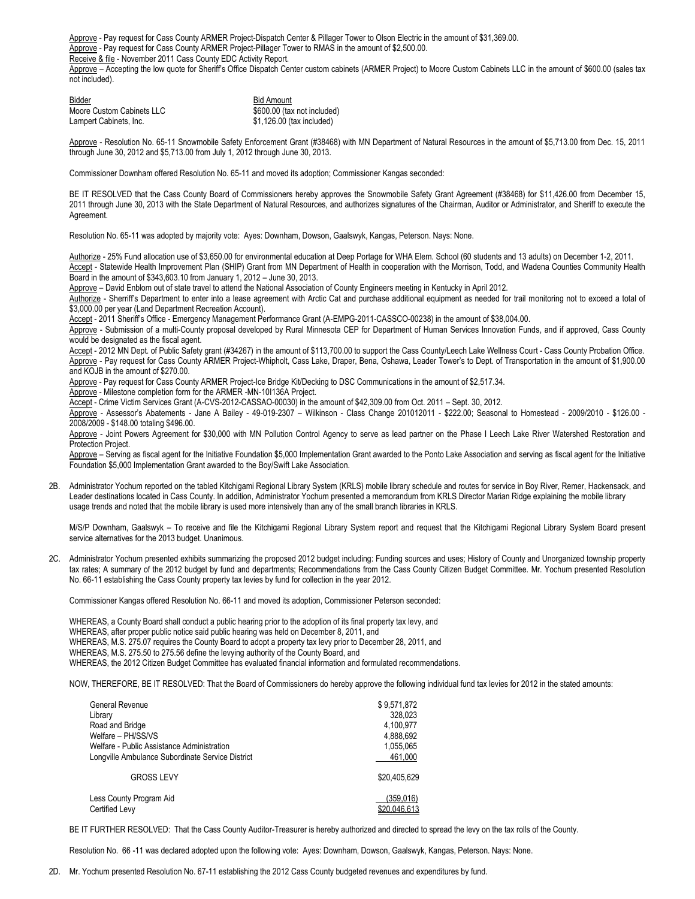Approve - Pay request for Cass County ARMER Project-Dispatch Center & Pillager Tower to Olson Electric in the amount of \$31,369.00.

Approve - Pay request for Cass County ARMER Project-Pillager Tower to RMAS in the amount of \$2,500.00.

Receive & file - November 2011 Cass County EDC Activity Report.

Approve - Accepting the low quote for Sheriff's Office Dispatch Center custom cabinets (ARMER Project) to Moore Custom Cabinets LLC in the amount of \$600.00 (sales tax not included).

Bidder **Bidder Bidder Bidder Bidder Bidder Bidder Bidder Bidder Bidder Bidder Bidder Bidder Bidder Bidder Bidder Bidder Bidder Bidder Bidder Bidder Bidder Bidder Bidder Bidder** Moore Custom Cabinets LLC<br>
Lampert Cabinets. Inc. 600 (tax included)<br>
\$1.126.00 (tax included)  $$1,126.00$  (tax included)

Approve - Resolution No. 65-11 Snowmobile Safety Enforcement Grant (#38468) with MN Department of Natural Resources in the amount of \$5,713.00 from Dec. 15, 2011 through June 30, 2012 and \$5,713.00 from July 1, 2012 through June 30, 2013.

Commissioner Downham offered Resolution No. 65-11 and moved its adoption; Commissioner Kangas seconded:

BE IT RESOLVED that the Cass County Board of Commissioners hereby approves the Snowmobile Safety Grant Agreement (#38468) for \$11,426.00 from December 15, 2011 through June 30, 2013 with the State Department of Natural Resources, and authorizes signatures of the Chairman, Auditor or Administrator, and Sheriff to execute the Agreement.

Resolution No. 65-11 was adopted by majority vote: Ayes: Downham, Dowson, Gaalswyk, Kangas, Peterson. Nays: None.

Authorize - 25% Fund allocation use of \$3,650.00 for environmental education at Deep Portage for WHA Elem. School (60 students and 13 adults) on December 1-2, 2011. Accept - Statewide Health Improvement Plan (SHIP) Grant from MN Department of Health in cooperation with the Morrison, Todd, and Wadena Counties Community Health

Board in the amount of \$343,603.10 from January 1, 2012 – June 30, 2013.

Approve – David Enblom out of state travel to attend the National Association of County Engineers meeting in Kentucky in April 2012.

Authorize - Sherriff's Department to enter into a lease agreement with Arctic Cat and purchase additional equipment as needed for trail monitoring not to exceed a total of \$3,000.00 per year (Land Department Recreation Account).

Accept - 2011 Sheriff's Office - Emergency Management Performance Grant (A-EMPG-2011-CASSCO-00238) in the amount of \$38,004.00.

Approve - Submission of a multi-County proposal developed by Rural Minnesota CEP for Department of Human Services Innovation Funds, and if approved, Cass County would be designated as the fiscal agent.

Accept - 2012 MN Dept. of Public Safety grant (#34267) in the amount of \$113,700.00 to support the Cass County/Leech Lake Wellness Court - Cass County Probation Office. Approve - Pay request for Cass County ARMER Project-Whipholt, Cass Lake, Draper, Bena, Oshawa, Leader Tower's to Dept. of Transportation in the amount of \$1,900.00 and KOJB in the amount of \$270.00.

Approve - Pay request for Cass County ARMER Project-Ice Bridge Kit/Decking to DSC Communications in the amount of \$2,517.34.

Approve - Milestone completion form for the ARMER -MN-10I136A Project.

Accept - Crime Victim Services Grant (A-CVS-2012-CASSAO-00030) in the amount of \$42,309.00 from Oct. 2011 – Sept. 30, 2012.

Approve - Assessor's Abatements - Jane A Bailey - 49-019-2307 – Wilkinson - Class Change 201012011 - \$222.00; Seasonal to Homestead - 2009/2010 - \$126.00 - 2008/2009 - \$148.00 totaling \$496.00.

Approve - Joint Powers Agreement for \$30,000 with MN Pollution Control Agency to serve as lead partner on the Phase I Leech Lake River Watershed Restoration and Protection Project.

Approve - Serving as fiscal agent for the Initiative Foundation \$5,000 Implementation Grant awarded to the Ponto Lake Association and serving as fiscal agent for the Initiative Foundation \$5,000 Implementation Grant awarded to the Boy/Swift Lake Association.

2B. Administrator Yochum reported on the tabled Kitchigami Regional Library System (KRLS) mobile library schedule and routes for service in Boy River, Remer, Hackensack, and Leader destinations located in Cass County. In addition, Administrator Yochum presented a memorandum from KRLS Director Marian Ridge explaining the mobile library usage trends and noted that the mobile library is used more intensively than any of the small branch libraries in KRLS.

M/S/P Downham, Gaalswyk – To receive and file the Kitchigami Regional Library System report and request that the Kitchigami Regional Library System Board present service alternatives for the 2013 budget. Unanimous.

2C. Administrator Yochum presented exhibits summarizing the proposed 2012 budget including: Funding sources and uses; History of County and Unorganized township property tax rates; A summary of the 2012 budget by fund and departments; Recommendations from the Cass County Citizen Budget Committee. Mr. Yochum presented Resolution No. 66-11 establishing the Cass County property tax levies by fund for collection in the year 2012.

Commissioner Kangas offered Resolution No. 66-11 and moved its adoption, Commissioner Peterson seconded:

WHEREAS, a County Board shall conduct a public hearing prior to the adoption of its final property tax levy, and WHEREAS, after proper public notice said public hearing was held on December 8, 2011, and WHEREAS, M.S. 275.07 requires the County Board to adopt a property tax levy prior to December 28, 2011, and

WHEREAS, M.S. 275.50 to 275.56 define the levying authority of the County Board, and

WHEREAS, the 2012 Citizen Budget Committee has evaluated financial information and formulated recommendations.

NOW, THEREFORE, BE IT RESOLVED: That the Board of Commissioners do hereby approve the following individual fund tax levies for 2012 in the stated amounts:

| General Revenue<br>Library<br>Road and Bridge<br>Welfare - PH/SS/VS<br>Welfare - Public Assistance Administration<br>Longville Ambulance Subordinate Service District | \$9,571,872<br>328.023<br>4,100,977<br>4,888,692<br>1,055,065<br>461,000 |
|-----------------------------------------------------------------------------------------------------------------------------------------------------------------------|--------------------------------------------------------------------------|
| <b>GROSS LEVY</b>                                                                                                                                                     | \$20.405.629                                                             |
| Less County Program Aid<br>Certified Levy                                                                                                                             | (359, 016)<br>\$20.046.613                                               |

BE IT FURTHER RESOLVED: That the Cass County Auditor-Treasurer is hereby authorized and directed to spread the levy on the tax rolls of the County.

Resolution No. 66 -11 was declared adopted upon the following vote: Ayes: Downham, Dowson, Gaalswyk, Kangas, Peterson. Nays: None.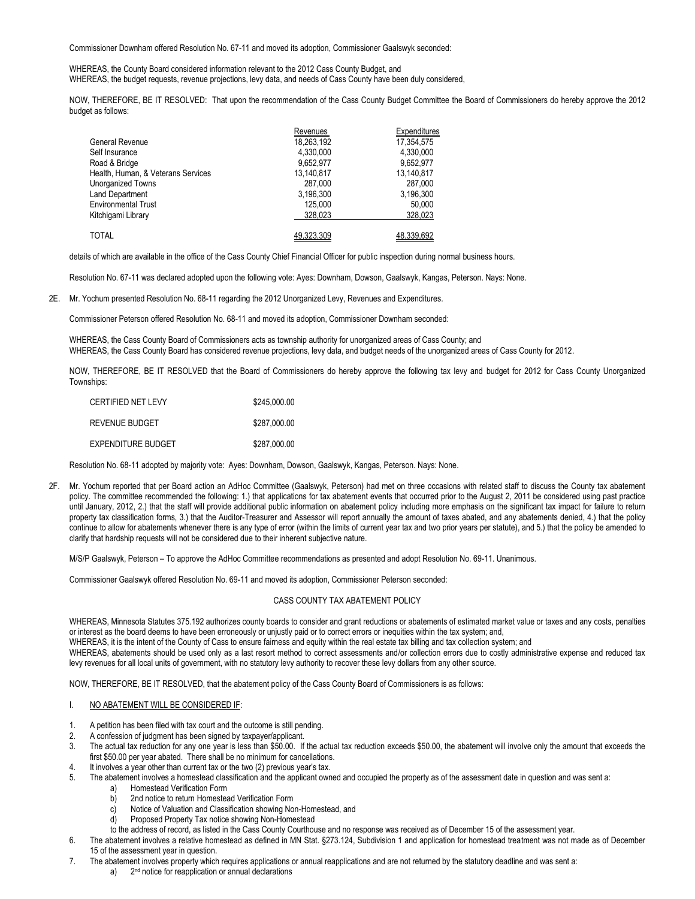Commissioner Downham offered Resolution No. 67-11 and moved its adoption, Commissioner Gaalswyk seconded:

WHEREAS, the County Board considered information relevant to the 2012 Cass County Budget, and WHEREAS, the budget requests, revenue projections, levy data, and needs of Cass County have been duly considered,

NOW, THEREFORE, BE IT RESOLVED: That upon the recommendation of the Cass County Budget Committee the Board of Commissioners do hereby approve the 2012 budget as follows:

|                                    | Revenues   | Expenditures |
|------------------------------------|------------|--------------|
| <b>General Revenue</b>             | 18,263,192 | 17,354,575   |
| Self Insurance                     | 4,330,000  | 4.330.000    |
| Road & Bridge                      | 9.652.977  | 9.652.977    |
| Health, Human, & Veterans Services | 13,140,817 | 13,140,817   |
| Unorganized Towns                  | 287.000    | 287.000      |
| <b>Land Department</b>             | 3,196,300  | 3,196,300    |
| <b>Environmental Trust</b>         | 125.000    | 50,000       |
| Kitchigami Library                 | 328.023    | 328,023      |
|                                    |            |              |
| <b>TOTAL</b>                       | 49.323.309 | 48,339,692   |

details of which are available in the office of the Cass County Chief Financial Officer for public inspection during normal business hours.

Resolution No. 67-11 was declared adopted upon the following vote: Ayes: Downham, Dowson, Gaalswyk, Kangas, Peterson. Nays: None.

2E. Mr. Yochum presented Resolution No. 68-11 regarding the 2012 Unorganized Levy, Revenues and Expenditures.

Commissioner Peterson offered Resolution No. 68-11 and moved its adoption, Commissioner Downham seconded:

WHEREAS, the Cass County Board of Commissioners acts as township authority for unorganized areas of Cass County; and WHEREAS, the Cass County Board has considered revenue projections, levy data, and budget needs of the unorganized areas of Cass County for 2012.

NOW, THEREFORE, BE IT RESOLVED that the Board of Commissioners do hereby approve the following tax levy and budget for 2012 for Cass County Unorganized Townships:

| CERTIFIED NET I FVY | \$245,000.00 |
|---------------------|--------------|
| REVENUE BUDGET      | \$287.000.00 |
| EXPENDITURE BUDGET  | \$287,000.00 |

Resolution No. 68-11 adopted by majority vote: Ayes: Downham, Dowson, Gaalswyk, Kangas, Peterson. Nays: None.

2F. Mr. Yochum reported that per Board action an AdHoc Committee (Gaalswyk, Peterson) had met on three occasions with related staff to discuss the County tax abatement policy. The committee recommended the following: 1.) that applications for tax abatement events that occurred prior to the August 2, 2011 be considered using past practice until January, 2012, 2.) that the staff will provide additional public information on abatement policy including more emphasis on the significant tax impact for failure to return property tax classification forms, 3.) that the Auditor-Treasurer and Assessor will report annually the amount of taxes abated, and any abatements denied, 4.) that the policy continue to allow for abatements whenever there is any type of error (within the limits of current year tax and two prior years per statute), and 5.) that the policy be amended to clarify that hardship requests will not be considered due to their inherent subjective nature.

M/S/P Gaalswyk, Peterson – To approve the AdHoc Committee recommendations as presented and adopt Resolution No. 69-11. Unanimous.

Commissioner Gaalswyk offered Resolution No. 69-11 and moved its adoption, Commissioner Peterson seconded:

# CASS COUNTY TAX ABATEMENT POLICY

WHEREAS, Minnesota Statutes 375.192 authorizes county boards to consider and grant reductions or abatements of estimated market value or taxes and any costs, penalties or interest as the board deems to have been erroneously or unjustly paid or to correct errors or inequities within the tax system; and,

WHEREAS, it is the intent of the County of Cass to ensure fairness and equity within the real estate tax billing and tax collection system; and

WHEREAS, abatements should be used only as a last resort method to correct assessments and/or collection errors due to costly administrative expense and reduced tax levy revenues for all local units of government, with no statutory levy authority to recover these levy dollars from any other source.

NOW, THEREFORE, BE IT RESOLVED, that the abatement policy of the Cass County Board of Commissioners is as follows:

### I. NO ABATEMENT WILL BE CONSIDERED IF:

- 1. A petition has been filed with tax court and the outcome is still pending.
- 2. A confession of judgment has been signed by taxpayer/applicant.
- 3. The actual tax reduction for any one year is less than \$50.00. If the actual tax reduction exceeds \$50.00, the abatement will involve only the amount that exceeds the first \$50.00 per year abated. There shall be no minimum for cancellations.
- 4. It involves a year other than current tax or the two (2) previous year's tax.
- 5. The abatement involves a homestead classification and the applicant owned and occupied the property as of the assessment date in question and was sent a:
	- a) Homestead Verification Form
	- b) 2nd notice to return Homestead Verification Form
	- c) Notice of Valuation and Classification showing Non-Homestead, and
	- d) Proposed Property Tax notice showing Non-Homestead
	- to the address of record, as listed in the Cass County Courthouse and no response was received as of December 15 of the assessment year.
- 6. The abatement involves a relative homestead as defined in MN Stat. §273.124, Subdivision 1 and application for homestead treatment was not made as of December 15 of the assessment year in question.
- 7. The abatement involves property which requires applications or annual reapplications and are not returned by the statutory deadline and was sent a: a) 2<sup>nd</sup> notice for reapplication or annual declarations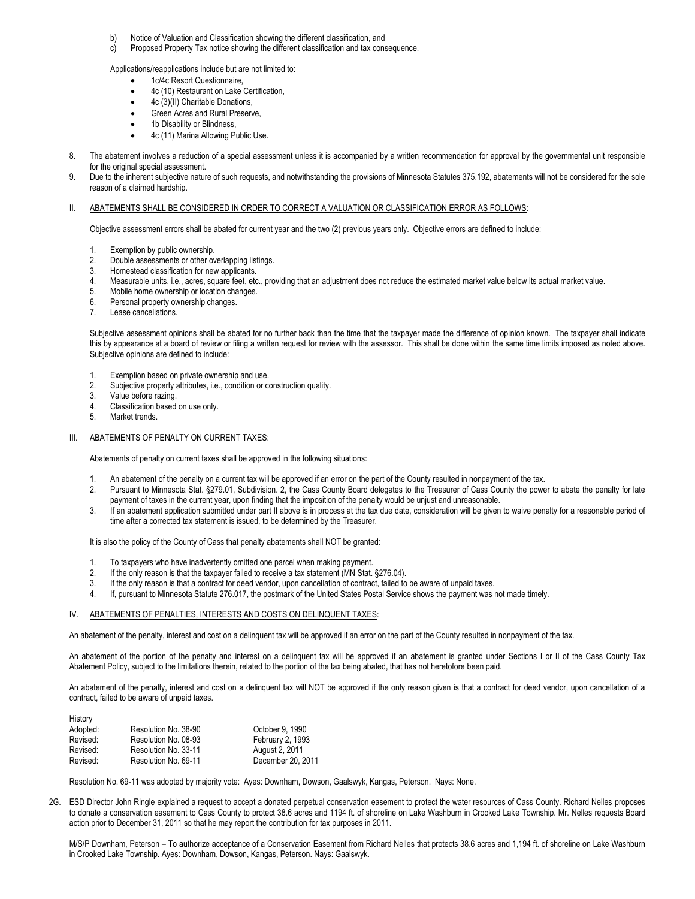- b) Notice of Valuation and Classification showing the different classification, and<br>c) Proposed Property Tax notice showing the different classification and tax cons
- Proposed Property Tax notice showing the different classification and tax consequence.

Applications/reapplications include but are not limited to:

- 1c/4c Resort Questionnaire,
- 4c (10) Restaurant on Lake Certification,
- 4c (3)(II) Charitable Donations.
- Green Acres and Rural Preserve,
- 1b Disability or Blindness,
- 4c (11) Marina Allowing Public Use.
- 8. The abatement involves a reduction of a special assessment unless it is accompanied by a written recommendation for approval by the governmental unit responsible for the original special assessment.
- 9. Due to the inherent subjective nature of such requests, and notwithstanding the provisions of Minnesota Statutes 375.192, abatements will not be considered for the sole reason of a claimed hardship.

#### II. ABATEMENTS SHALL BE CONSIDERED IN ORDER TO CORRECT A VALUATION OR CLASSIFICATION ERROR AS FOLLOWS:

Objective assessment errors shall be abated for current year and the two (2) previous years only. Objective errors are defined to include:

- 1. Exemption by public ownership.
- 2. Double assessments or other overlapping listings.
- 3. Homestead classification for new applicants.
- 4. Measurable units, i.e., acres, square feet, etc., providing that an adjustment does not reduce the estimated market value below its actual market value.<br>5. Mobile home ownership or location changes.
- Mobile home ownership or location changes.
- 6. Personal property ownership changes.
- 7. Lease cancellations.

Subjective assessment opinions shall be abated for no further back than the time that the taxpayer made the difference of opinion known. The taxpayer shall indicate this by appearance at a board of review or filing a written request for review with the assessor. This shall be done within the same time limits imposed as noted above. Subjective opinions are defined to include:

- 1. Exemption based on private ownership and use.
- 2. Subjective property attributes, i.e., condition or construction quality.
- 3. Value before razing.
- 4. Classification based on use only.
- 5. Market trends.

History

## III. ABATEMENTS OF PENALTY ON CURRENT TAXES:

Abatements of penalty on current taxes shall be approved in the following situations:

- An abatement of the penalty on a current tax will be approved if an error on the part of the County resulted in nonpayment of the tax.
- 2. Pursuant to Minnesota Stat. §279.01, Subdivision. 2, the Cass County Board delegates to the Treasurer of Cass County the power to abate the penalty for late payment of taxes in the current year, upon finding that the imposition of the penalty would be unjust and unreasonable.
- 3. If an abatement application submitted under part II above is in process at the tax due date, consideration will be given to waive penalty for a reasonable period of time after a corrected tax statement is issued, to be determined by the Treasurer.

It is also the policy of the County of Cass that penalty abatements shall NOT be granted:

- To taxpayers who have inadvertently omitted one parcel when making payment.
- 2. If the only reason is that the taxpayer failed to receive a tax statement (MN Stat. §276.04).
- 3. If the only reason is that a contract for deed vendor, upon cancellation of contract, failed to be aware of unpaid taxes.
- 4. If, pursuant to Minnesota Statute 276.017, the postmark of the United States Postal Service shows the payment was not made timely.

#### IV. ABATEMENTS OF PENALTIES, INTERESTS AND COSTS ON DELINQUENT TAXES:

An abatement of the penalty, interest and cost on a delinquent tax will be approved if an error on the part of the County resulted in nonpayment of the tax.

An abatement of the portion of the penalty and interest on a delinquent tax will be approved if an abatement is granted under Sections I or II of the Cass County Tax Abatement Policy, subject to the limitations therein, related to the portion of the tax being abated, that has not heretofore been paid.

An abatement of the penalty, interest and cost on a delinquent tax will NOT be approved if the only reason given is that a contract for deed vendor, upon cancellation of a contract, failed to be aware of unpaid taxes.

| Resolution No. 38-90 | October 9, 1990   |
|----------------------|-------------------|
| Resolution No. 08-93 | February 2, 1993  |
| Resolution No. 33-11 | August 2, 2011    |
| Resolution No. 69-11 | December 20, 2011 |
|                      |                   |

Resolution No. 69-11 was adopted by majority vote: Ayes: Downham, Dowson, Gaalswyk, Kangas, Peterson. Nays: None.

2G. ESD Director John Ringle explained a request to accept a donated perpetual conservation easement to protect the water resources of Cass County. Richard Nelles proposes to donate a conservation easement to Cass County to protect 38.6 acres and 1194 ft. of shoreline on Lake Washburn in Crooked Lake Township. Mr. Nelles requests Board action prior to December 31, 2011 so that he may report the contribution for tax purposes in 2011.

M/S/P Downham, Peterson – To authorize acceptance of a Conservation Easement from Richard Nelles that protects 38.6 acres and 1,194 ft. of shoreline on Lake Washburn in Crooked Lake Township. Ayes: Downham, Dowson, Kangas, Peterson. Nays: Gaalswyk.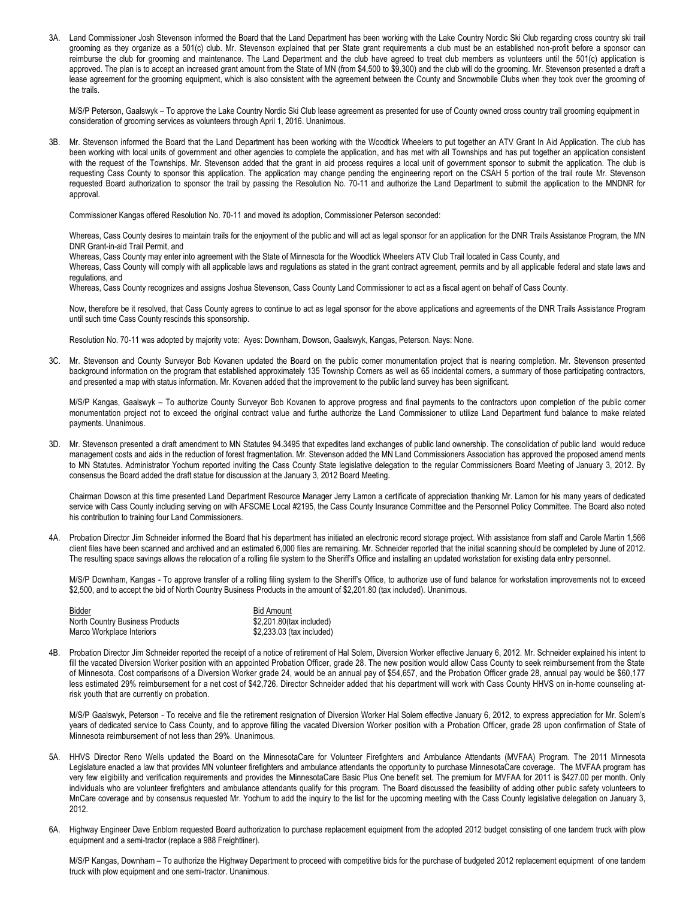3A. Land Commissioner Josh Stevenson informed the Board that the Land Department has been working with the Lake Country Nordic Ski Club regarding cross country ski trail grooming as they organize as a 501(c) club. Mr. Stevenson explained that per State grant requirements a club must be an established non-profit before a sponsor can reimburse the club for grooming and maintenance. The Land Department and the club have agreed to treat club members as volunteers until the 501(c) application is approved. The plan is to accept an increased grant amount from the State of MN (from \$4,500 to \$9,300) and the club will do the grooming. Mr. Stevenson presented a draft a lease agreement for the grooming equipment, which is also consistent with the agreement between the County and Snowmobile Clubs when they took over the grooming of the trails.

M/S/P Peterson, Gaalswyk – To approve the Lake Country Nordic Ski Club lease agreement as presented for use of County owned cross country trail grooming equipment in consideration of grooming services as volunteers through April 1, 2016. Unanimous.

3B. Mr. Stevenson informed the Board that the Land Department has been working with the Woodtick Wheelers to put together an ATV Grant In Aid Application. The club has been working with local units of government and other agencies to complete the application, and has met with all Townships and has put together an application consistent with the request of the Townships. Mr. Stevenson added that the grant in aid process requires a local unit of government sponsor to submit the application. The club is requesting Cass County to sponsor this application. The application may change pending the engineering report on the CSAH 5 portion of the trail route Mr. Stevenson requested Board authorization to sponsor the trail by passing the Resolution No. 70-11 and authorize the Land Department to submit the application to the MNDNR for approval.

Commissioner Kangas offered Resolution No. 70-11 and moved its adoption, Commissioner Peterson seconded:

Whereas, Cass County desires to maintain trails for the enjoyment of the public and will act as legal sponsor for an application for the DNR Trails Assistance Program, the MN DNR Grant-in-aid Trail Permit, and

Whereas, Cass County may enter into agreement with the State of Minnesota for the Woodtick Wheelers ATV Club Trail located in Cass County, and

Whereas, Cass County will comply with all applicable laws and regulations as stated in the grant contract agreement, permits and by all applicable federal and state laws and regulations, and

Whereas, Cass County recognizes and assigns Joshua Stevenson, Cass County Land Commissioner to act as a fiscal agent on behalf of Cass County.

Now, therefore be it resolved, that Cass County agrees to continue to act as legal sponsor for the above applications and agreements of the DNR Trails Assistance Program until such time Cass County rescinds this sponsorship.

Resolution No. 70-11 was adopted by majority vote: Ayes: Downham, Dowson, Gaalswyk, Kangas, Peterson. Nays: None.

3C. Mr. Stevenson and County Surveyor Bob Kovanen updated the Board on the public corner monumentation project that is nearing completion. Mr. Stevenson presented background information on the program that established approximately 135 Township Corners as well as 65 incidental corners, a summary of those participating contractors, and presented a map with status information. Mr. Kovanen added that the improvement to the public land survey has been significant.

M/S/P Kangas, Gaalswyk – To authorize County Surveyor Bob Kovanen to approve progress and final payments to the contractors upon completion of the public corner monumentation project not to exceed the original contract value and furthe authorize the Land Commissioner to utilize Land Department fund balance to make related payments. Unanimous.

3D. Mr. Stevenson presented a draft amendment to MN Statutes 94.3495 that expedites land exchanges of public land ownership. The consolidation of public land would reduce management costs and aids in the reduction of forest fragmentation. Mr. Stevenson added the MN Land Commissioners Association has approved the proposed amend ments to MN Statutes. Administrator Yochum reported inviting the Cass County State legislative delegation to the regular Commissioners Board Meeting of January 3, 2012. By consensus the Board added the draft statue for discussion at the January 3, 2012 Board Meeting.

Chairman Dowson at this time presented Land Department Resource Manager Jerry Lamon a certificate of appreciation thanking Mr. Lamon for his many years of dedicated service with Cass County including serving on with AFSCME Local #2195, the Cass County Insurance Committee and the Personnel Policy Committee. The Board also noted his contribution to training four Land Commissioners.

4A. Probation Director Jim Schneider informed the Board that his department has initiated an electronic record storage project. With assistance from staff and Carole Martin 1,566 client files have been scanned and archived and an estimated 6,000 files are remaining. Mr. Schneider reported that the initial scanning should be completed by June of 2012. The resulting space savings allows the relocation of a rolling file system to the Sheriff's Office and installing an updated workstation for existing data entry personnel.

M/S/P Downham, Kangas - To approve transfer of a rolling filing system to the Sheriff's Office, to authorize use of fund balance for workstation improvements not to exceed \$2,500, and to accept the bid of North Country Business Products in the amount of \$2,201.80 (tax included). Unanimous.

| Bidder                          | <b>Bid Amount</b>         |
|---------------------------------|---------------------------|
| North Country Business Products | \$2,201.80(tax included)  |
| Marco Workplace Interiors       | \$2,233.03 (tax included) |

4B. Probation Director Jim Schneider reported the receipt of a notice of retirement of Hal Solem, Diversion Worker effective January 6, 2012. Mr. Schneider explained his intent to fill the vacated Diversion Worker position with an appointed Probation Officer, grade 28. The new position would allow Cass County to seek reimbursement from the State of Minnesota. Cost comparisons of a Diversion Worker grade 24, would be an annual pay of \$54,657, and the Probation Officer grade 28, annual pay would be \$60,177 less estimated 29% reimbursement for a net cost of \$42,726. Director Schneider added that his department will work with Cass County HHVS on in-home counseling atrisk youth that are currently on probation.

M/S/P Gaalswyk, Peterson - To receive and file the retirement resignation of Diversion Worker Hal Solem effective January 6, 2012, to express appreciation for Mr. Solem's years of dedicated service to Cass County, and to approve filling the vacated Diversion Worker position with a Probation Officer, grade 28 upon confirmation of State of Minnesota reimbursement of not less than 29%. Unanimous.

- 5A. HHVS Director Reno Wells updated the Board on the MinnesotaCare for Volunteer Firefighters and Ambulance Attendants (MVFAA) Program. The 2011 Minnesota Legislature enacted a law that provides MN volunteer firefighters and ambulance attendants the opportunity to purchase MinnesotaCare coverage. The MVFAA program has very few eligibility and verification requirements and provides the MinnesotaCare Basic Plus One benefit set. The premium for MVFAA for 2011 is \$427.00 per month. Only individuals who are volunteer firefighters and ambulance attendants qualify for this program. The Board discussed the feasibility of adding other public safety volunteers to MnCare coverage and by consensus requested Mr. Yochum to add the inquiry to the list for the upcoming meeting with the Cass County legislative delegation on January 3, 2012.
- 6A. Highway Engineer Dave Enblom requested Board authorization to purchase replacement equipment from the adopted 2012 budget consisting of one tandem truck with plow equipment and a semi-tractor (replace a 988 Freightliner).

M/S/P Kangas, Downham - To authorize the Highway Department to proceed with competitive bids for the purchase of budgeted 2012 replacement equipment of one tandem truck with plow equipment and one semi-tractor. Unanimous.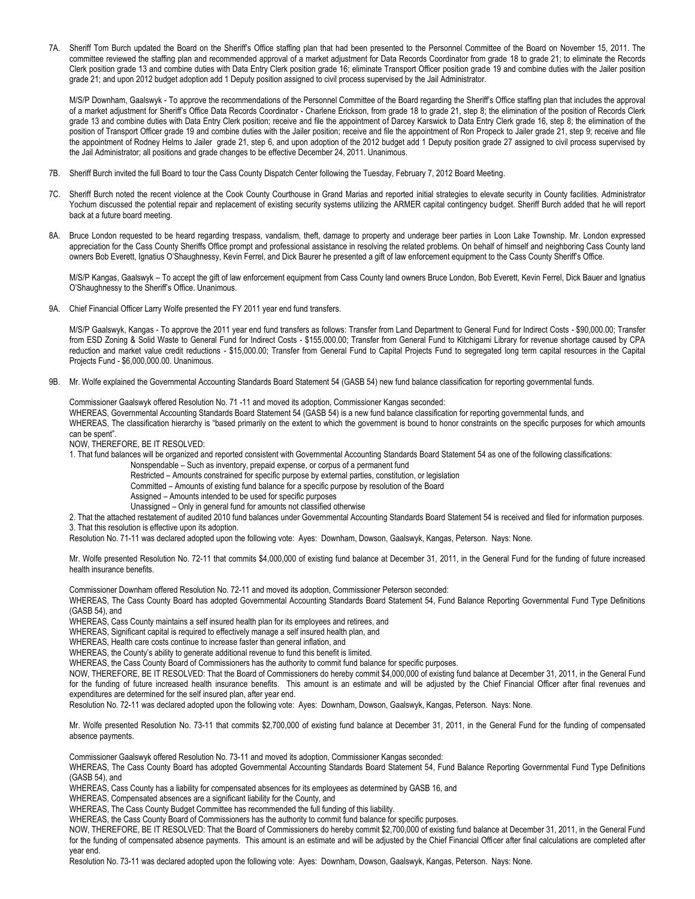7A. Sheriff Tom Burch updated the Board on the Sheriff's Office staffing plan that had been presented to the Personnel Committee of the Board on November 15, 2011. The committee reviewed the staffing plan and recommended approval of a market adjustment for Data Records Coordinator from grade 18 to grade 21; to eliminate the Records Clerk position grade 13 and combine duties with Data Entry Clerk position grade 16; eliminate Transport Officer position grade 19 and combine duties with the Jailer position grade 21; and upon 2012 budget adoption add 1 Deputy position assigned to civil process supervised by the Jail Administrator.

M/S/P Downham, Gaalswyk - To approve the recommendations of the Personnel Committee of the Board regarding the Sheriff's Office staffing plan that includes the approval of a market adjustment for Sheriff's Office Data Records Coordinator - Charlene Erickson, from grade 18 to grade 21, step 8; the elimination of the position of Records Clerk grade 13 and combine duties with Data Entry Clerk position; receive and file the appointment of Darcey Karswick to Data Entry Clerk grade 16, step 8; the elimination of the position of Transport Officer grade 19 and combine duties with the Jailer position; receive and file the appointment of Ron Propeck to Jailer grade 21, step 9; receive and file the appointment of Rodney Helms to Jailer grade 21, step 6, and upon adoption of the 2012 budget add 1 Deputy position grade 27 assigned to civil process supervised by the Jail Administrator; all positions and grade changes to be effective December 24, 2011. Unanimous.

- 7B. Sheriff Burch invited the full Board to tour the Cass County Dispatch Center following the Tuesday, February 7, 2012 Board Meeting.
- 7C. Sheriff Burch noted the recent violence at the Cook County Courthouse in Grand Marias and reported initial strategies to elevate security in County facilities. Administrator Yochum discussed the potential repair and replacement of existing security systems utilizing the ARMER capital contingency budget. Sheriff Burch added that he will report back at a future board meeting.
- 8A. Bruce London requested to be heard regarding trespass, vandalism, theft, damage to property and underage beer parties in Loon Lake Township. Mr. London expressed appreciation for the Cass County Sheriffs Office prompt and professional assistance in resolving the related problems. On behalf of himself and neighboring Cass County land owners Bob Everett, Ignatius O'Shaughnessy, Kevin Ferrel, and Dick Baurer he presented a gift of law enforcement equipment to the Cass County Sheriff's Office.

M/S/P Kangas, Gaalswyk – To accept the gift of law enforcement equipment from Cass County land owners Bruce London, Bob Everett, Kevin Ferrel, Dick Bauer and Ignatius O'Shaughnessy to the Sheriff's Office. Unanimous.

9A. Chief Financial Officer Larry Wolfe presented the FY 2011 year end fund transfers.

M/S/P Gaalswyk, Kangas - To approve the 2011 year end fund transfers as follows: Transfer from Land Department to General Fund for Indirect Costs - \$90,000.00; Transfer from ESD Zoning & Solid Waste to General Fund for Indirect Costs - \$155,000.00; Transfer from General Fund to Kitchigami Library for revenue shortage caused by CPA reduction and market value credit reductions - \$15,000.00; Transfer from General Fund to Capital Projects Fund to segregated long term capital resources in the Capital Projects Fund - \$6,000,000.00. Unanimous.

9B. Mr. Wolfe explained the Governmental Accounting Standards Board Statement 54 (GASB 54) new fund balance classification for reporting governmental funds.

Commissioner Gaalswyk offered Resolution No. 71 -11 and moved its adoption, Commissioner Kangas seconded: WHEREAS, Governmental Accounting Standards Board Statement 54 (GASB 54) is a new fund balance classification for reporting governmental funds, and WHEREAS, The classification hierarchy is "based primarily on the extent to which the government is bound to honor constraints on the specific purposes for which amounts can be spent".

NOW, THEREFORE, BE IT RESOLVED:

1. That fund balances will be organized and reported consistent with Governmental Accounting Standards Board Statement 54 as one of the following classifications:

Nonspendable – Such as inventory, prepaid expense, or corpus of a permanent fund

Restricted – Amounts constrained for specific purpose by external parties, constitution, or legislation

Committed – Amounts of existing fund balance for a specific purpose by resolution of the Board

Assigned – Amounts intended to be used for specific purposes

Unassigned – Only in general fund for amounts not classified otherwise

2. That the attached restatement of audited 2010 fund balances under Governmental Accounting Standards Board Statement 54 is received and filed for information purposes. 3. That this resolution is effective upon its adoption.

Resolution No. 71-11 was declared adopted upon the following vote: Ayes: Downham, Dowson, Gaalswyk, Kangas, Peterson. Nays: None.

Mr. Wolfe presented Resolution No. 72-11 that commits \$4,000,000 of existing fund balance at December 31, 2011, in the General Fund for the funding of future increased health insurance benefits.

Commissioner Downham offered Resolution No. 72-11 and moved its adoption, Commissioner Peterson seconded:

WHEREAS, The Cass County Board has adopted Governmental Accounting Standards Board Statement 54, Fund Balance Reporting Governmental Fund Type Definitions (GASB 54), and

WHEREAS, Cass County maintains a self insured health plan for its employees and retirees, and

WHEREAS, Significant capital is required to effectively manage a self insured health plan, and

WHEREAS, Health care costs continue to increase faster than general inflation, and

WHEREAS, the County's ability to generate additional revenue to fund this benefit is limited.

WHEREAS, the Cass County Board of Commissioners has the authority to commit fund balance for specific purposes.

NOW, THEREFORE, BE IT RESOLVED: That the Board of Commissioners do hereby commit \$4,000,000 of existing fund balance at December 31, 2011, in the General Fund for the funding of future increased health insurance benefits. This amount is an estimate and will be adjusted by the Chief Financial Officer after final revenues and expenditures are determined for the self insured plan, after year end.

Resolution No. 72-11 was declared adopted upon the following vote: Ayes: Downham, Dowson, Gaalswyk, Kangas, Peterson. Nays: None.

Mr. Wolfe presented Resolution No. 73-11 that commits \$2,700,000 of existing fund balance at December 31, 2011, in the General Fund for the funding of compensated absence payments.

Commissioner Gaalswyk offered Resolution No. 73-11 and moved its adoption, Commissioner Kangas seconded:

WHEREAS, The Cass County Board has adopted Governmental Accounting Standards Board Statement 54, Fund Balance Reporting Governmental Fund Type Definitions (GASB 54), and

WHEREAS, Cass County has a liability for compensated absences for its employees as determined by GASB 16, and

WHEREAS, Compensated absences are a significant liability for the County, and

WHEREAS, The Cass County Budget Committee has recommended the full funding of this liability.

WHEREAS, the Cass County Board of Commissioners has the authority to commit fund balance for specific purposes.

NOW, THEREFORE, BE IT RESOLVED: That the Board of Commissioners do hereby commit \$2,700,000 of existing fund balance at December 31, 2011, in the General Fund for the funding of compensated absence payments. This amount is an estimate and will be adjusted by the Chief Financial Officer after final calculations are completed after year end.

Resolution No. 73-11 was declared adopted upon the following vote: Ayes: Downham, Dowson, Gaalswyk, Kangas, Peterson. Nays: None.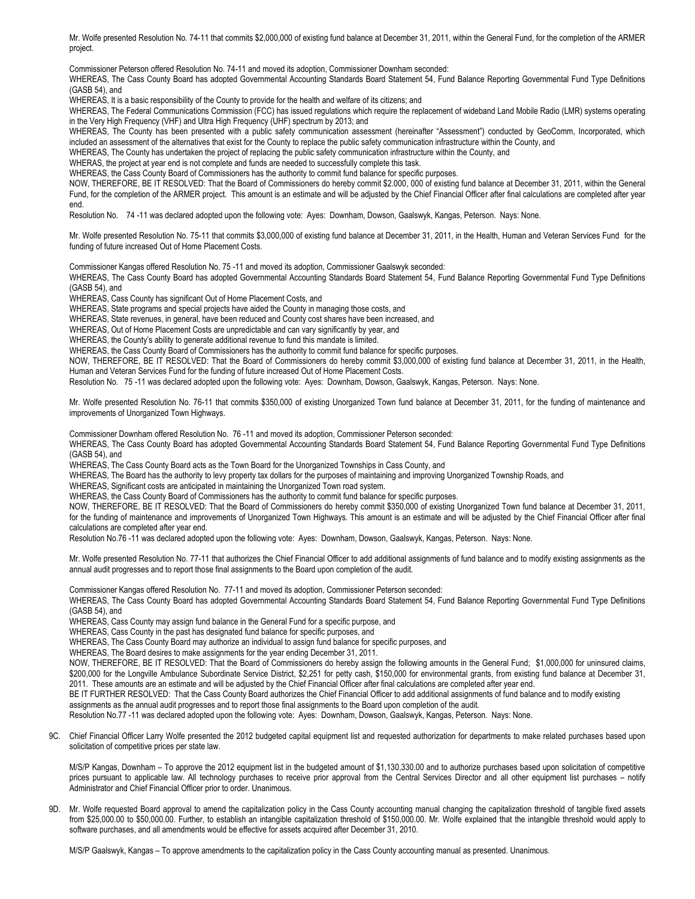Mr. Wolfe presented Resolution No. 74-11 that commits \$2,000,000 of existing fund balance at December 31, 2011, within the General Fund, for the completion of the ARMER project.

Commissioner Peterson offered Resolution No. 74-11 and moved its adoption, Commissioner Downham seconded:

WHEREAS, The Cass County Board has adopted Governmental Accounting Standards Board Statement 54, Fund Balance Reporting Governmental Fund Type Definitions (GASB 54), and

WHEREAS, It is a basic responsibility of the County to provide for the health and welfare of its citizens; and

WHEREAS, The Federal Communications Commission (FCC) has issued regulations which require the replacement of wideband Land Mobile Radio (LMR) systems operating in the Very High Frequency (VHF) and Ultra High Frequency (UHF) spectrum by 2013; and

WHEREAS, The County has been presented with a public safety communication assessment (hereinafter "Assessment") conducted by GeoComm, Incorporated, which included an assessment of the alternatives that exist for the County to replace the public safety communication infrastructure within the County, and

WHEREAS, The County has undertaken the project of replacing the public safety communication infrastructure within the County, and

WHERAS, the project at year end is not complete and funds are needed to successfully complete this task.

WHEREAS, the Cass County Board of Commissioners has the authority to commit fund balance for specific purposes.

NOW, THEREFORE, BE IT RESOLVED: That the Board of Commissioners do hereby commit \$2.000, 000 of existing fund balance at December 31, 2011, within the General Fund, for the completion of the ARMER project. This amount is an estimate and will be adjusted by the Chief Financial Officer after final calculations are completed after year end.

Resolution No. 74 -11 was declared adopted upon the following vote: Ayes: Downham, Dowson, Gaalswyk, Kangas, Peterson. Nays: None.

Mr. Wolfe presented Resolution No. 75-11 that commits \$3,000,000 of existing fund balance at December 31, 2011, in the Health, Human and Veteran Services Fund for the funding of future increased Out of Home Placement Costs.

Commissioner Kangas offered Resolution No. 75 -11 and moved its adoption, Commissioner Gaalswyk seconded:

WHEREAS, The Cass County Board has adopted Governmental Accounting Standards Board Statement 54, Fund Balance Reporting Governmental Fund Type Definitions (GASB 54), and

WHEREAS, Cass County has significant Out of Home Placement Costs, and

WHEREAS, State programs and special projects have aided the County in managing those costs, and

WHEREAS, State revenues, in general, have been reduced and County cost shares have been increased, and

WHEREAS, Out of Home Placement Costs are unpredictable and can vary significantly by year, and

WHEREAS, the County's ability to generate additional revenue to fund this mandate is limited.

WHEREAS, the Cass County Board of Commissioners has the authority to commit fund balance for specific purposes.

NOW, THEREFORE, BE IT RESOLVED: That the Board of Commissioners do hereby commit \$3,000,000 of existing fund balance at December 31, 2011, in the Health, Human and Veteran Services Fund for the funding of future increased Out of Home Placement Costs.

Resolution No. 75 -11 was declared adopted upon the following vote: Ayes: Downham, Dowson, Gaalswyk, Kangas, Peterson. Nays: None.

Mr. Wolfe presented Resolution No. 76-11 that commits \$350,000 of existing Unorganized Town fund balance at December 31, 2011, for the funding of maintenance and improvements of Unorganized Town Highways.

Commissioner Downham offered Resolution No. 76 -11 and moved its adoption, Commissioner Peterson seconded:

WHEREAS, The Cass County Board has adopted Governmental Accounting Standards Board Statement 54, Fund Balance Reporting Governmental Fund Type Definitions (GASB 54), and

WHEREAS, The Cass County Board acts as the Town Board for the Unorganized Townships in Cass County, and

WHEREAS, The Board has the authority to levy property tax dollars for the purposes of maintaining and improving Unorganized Township Roads, and

WHEREAS, Significant costs are anticipated in maintaining the Unorganized Town road system.

WHEREAS, the Cass County Board of Commissioners has the authority to commit fund balance for specific purposes.

NOW, THEREFORE, BE IT RESOLVED: That the Board of Commissioners do hereby commit \$350,000 of existing Unorganized Town fund balance at December 31, 2011, for the funding of maintenance and improvements of Unorganized Town Highways. This amount is an estimate and will be adjusted by the Chief Financial Officer after final calculations are completed after year end.

Resolution No.76 -11 was declared adopted upon the following vote: Ayes: Downham, Dowson, Gaalswyk, Kangas, Peterson. Nays: None.

Mr. Wolfe presented Resolution No. 77-11 that authorizes the Chief Financial Officer to add additional assignments of fund balance and to modify existing assignments as the annual audit progresses and to report those final assignments to the Board upon completion of the audit.

Commissioner Kangas offered Resolution No. 77-11 and moved its adoption, Commissioner Peterson seconded:

WHEREAS, The Cass County Board has adopted Governmental Accounting Standards Board Statement 54, Fund Balance Reporting Governmental Fund Type Definitions (GASB 54), and

WHEREAS, Cass County may assign fund balance in the General Fund for a specific purpose, and

WHEREAS, Cass County in the past has designated fund balance for specific purposes, and

WHEREAS, The Cass County Board may authorize an individual to assign fund balance for specific purposes, and

WHEREAS, The Board desires to make assignments for the year ending December 31, 2011.

NOW, THEREFORE, BE IT RESOLVED: That the Board of Commissioners do hereby assign the following amounts in the General Fund; \$1,000,000 for uninsured claims, \$200,000 for the Longville Ambulance Subordinate Service District, \$2,251 for petty cash, \$150,000 for environmental grants, from existing fund balance at December 31, 2011. These amounts are an estimate and will be adjusted by the Chief Financial Officer after final calculations are completed after year end.

BE IT FURTHER RESOLVED: That the Cass County Board authorizes the Chief Financial Officer to add additional assignments of fund balance and to modify existing

assignments as the annual audit progresses and to report those final assignments to the Board upon completion of the audit.

Resolution No.77 -11 was declared adopted upon the following vote: Ayes: Downham, Dowson, Gaalswyk, Kangas, Peterson. Nays: None.

9C. Chief Financial Officer Larry Wolfe presented the 2012 budgeted capital equipment list and requested authorization for departments to make related purchases based upon solicitation of competitive prices per state law.

M/S/P Kangas, Downham – To approve the 2012 equipment list in the budgeted amount of \$1,130,330.00 and to authorize purchases based upon solicitation of competitive prices pursuant to applicable law. All technology purchases to receive prior approval from the Central Services Director and all other equipment list purchases – notify Administrator and Chief Financial Officer prior to order. Unanimous.

9D. Mr. Wolfe requested Board approval to amend the capitalization policy in the Cass County accounting manual changing the capitalization threshold of tangible fixed assets from \$25,000.00 to \$50,000.00. Further, to establish an intangible capitalization threshold of \$150,000.00. Mr. Wolfe explained that the intangible threshold would apply to software purchases, and all amendments would be effective for assets acquired after December 31, 2010.